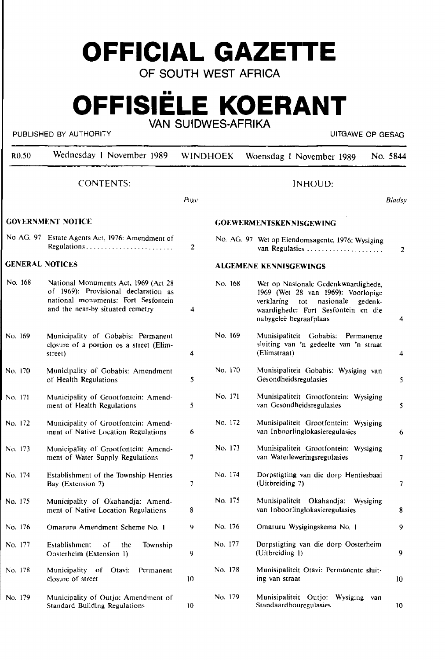# **OFFICIAL GAZETTE**

**OF SOUTH WEST AFRICA** 

## **OFFISIELE KOERANT VAN SUIDWES·AFRIKA**

#### PUBLISHED BY AUTHORITY **EXECUTE A SECOND TEST OF SECOND ACT CONTRACT CONTRACT CONTRACT OF GESAG**

| R <sub>0.50</sub>        | Wednesday 1 November 1989                                                                                                                               | <b>WINDHOEK</b>                |         | Woensdag 1 November 1989                                                                                                                                                             | No. 5844 |  |  |
|--------------------------|---------------------------------------------------------------------------------------------------------------------------------------------------------|--------------------------------|---------|--------------------------------------------------------------------------------------------------------------------------------------------------------------------------------------|----------|--|--|
|                          | <b>CONTENTS:</b>                                                                                                                                        | Puge                           |         | <b>INHOUD:</b>                                                                                                                                                                       | Bladsy   |  |  |
| <b>GOVERNMENT NOTICE</b> |                                                                                                                                                         | <b>GOEWERMENTSKENNISGEWING</b> |         |                                                                                                                                                                                      |          |  |  |
|                          | No AG. 97 Estate Agents Act, 1976: Amendment of                                                                                                         | 2                              |         | No. AG. 97 Wet op Eiendomsagente, 1976; Wysiging<br>van Regulasies                                                                                                                   | 2        |  |  |
| <b>GENERAL NOTICES</b>   |                                                                                                                                                         | ALGEMENE KENNISGEWINGS         |         |                                                                                                                                                                                      |          |  |  |
| No. 168                  | National Monuments Act, 1969 (Act 28<br>of 1969): Provisional declaration as<br>national monuments: Fort Sesfontein<br>and the near-by situated cemetry | 4                              | No. 168 | Wet op Nasionale Gedenkwaardighede,<br>1969 (Wet 28 van 1969): Voorlopige<br>verklaring tot<br>nasionale<br>gedenk-<br>waardighede: Fort Sesfontein en die<br>nabygeleë begraafplaas | 4        |  |  |
| No. 169                  | Municipality of Gobabis: Permanent<br>closure of a portion os a street (Elim-<br>street)                                                                | 4                              | No. 169 | Munisipaliteit Gobabis: Permanente<br>sluiting van 'n gedeelte van 'n straat<br>(Elimstraat)                                                                                         | 4        |  |  |
| No. 170                  | Municipality of Gobabis: Amendment<br>of Health Regulations                                                                                             | 5                              | No. 170 | Munisipaliteit Gobabis: Wysiging van<br>Gesondheidsregulasies                                                                                                                        | 5.       |  |  |
| No. 171                  | Municipality of Grootfontein: Amend-<br>ment of Health Regulations                                                                                      | 5                              | No. 171 | Munisipaliteit Grootfontein: Wysiging<br>van Gesondheidsregulasies                                                                                                                   | 5        |  |  |
| No. 172                  | Municipality of Grootfontein: Amend-<br>ment of Native Location Regulations                                                                             | 6                              | No. 172 | Munisipaliteit Grootfontein: Wysiging<br>van Inboorlinglokasieregulasies                                                                                                             | 6        |  |  |
| No. 173                  | Municipality of Grootfontein: Amend-<br>ment of Water Supply Regulations                                                                                | 7                              | No. 173 | Munisipaliteit Grootfontein: Wysiging<br>van Waterleweringsregulasies                                                                                                                | 7        |  |  |
| No. 174                  | Establishment of the Township Henties<br>Bay (Extension 7)                                                                                              | 7                              | No. 174 | Dorpstigting van die dorp Hentiesbaai<br>(Uitbreiding 7)                                                                                                                             | 7.       |  |  |
| No. 175                  | Municipality of Okahandja: Amend-<br>ment of Native Location Regulations                                                                                | 8                              | No. 175 | Munisipaliteit Okahandja: Wysiging<br>van Inboorlinglokasieregulasies                                                                                                                | 8        |  |  |
| No. 176                  | Omaruru Amendment Scheme No. 1                                                                                                                          | 9.                             | No. 176 | Omaruru Wysigingskema No. 1                                                                                                                                                          | 9.       |  |  |
| No. 177                  | Establishment<br>of<br>Township<br>the<br>Oosterheim (Extension 1)                                                                                      | 9                              | No. 177 | Dorpstigting van die dorp Oosterheim<br>(Uitbreiding 1)                                                                                                                              | 9.       |  |  |
| No. 178                  | Municipality of<br>Otavi:<br>Permanent<br>closure of street                                                                                             | 10                             | No. 178 | Munisipaliteit Otavi: Permanente sluit-<br>ing van straat                                                                                                                            | 10       |  |  |
| No. 179                  | Municipality of Outjo: Amendment of<br>Standard Building Regulations                                                                                    | 10                             | No. 179 | Munisipaliteit Outjo: Wysiging van<br>Standaardbouregulasies                                                                                                                         | 10       |  |  |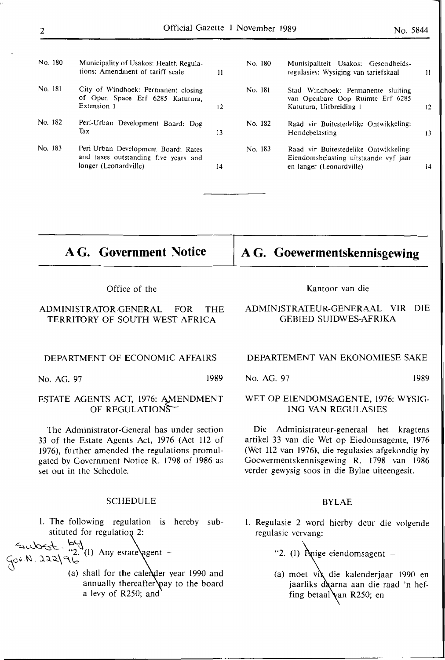| No. 180 | Municipality of Usakos: Health Regula-<br>tions: Amendment of tariff scale                           | 11 | No. 180 | Munisipaliteit Usakos: Gesondheids-<br>regulasies: Wysiging van tariefskaal                                | $\mathbf{1}$ |
|---------|------------------------------------------------------------------------------------------------------|----|---------|------------------------------------------------------------------------------------------------------------|--------------|
| No. 181 | City of Windhoek: Permanent closing<br>of Open Space Erf 6285 Katutura,<br>Extension 1               | 12 | No. 181 | Stad Windhoek: Permanente sluiting<br>van Openbare Oop Ruimte Erf 6285<br>Katutura. Uitbreiding 1          | 12           |
| No. 182 | Peri-Urban Development Board: Dog<br>Tax                                                             | 13 | No. 182 | Raad vir Buitestedelike Ontwikkeling:<br>Hondebelasting                                                    | 13           |
| No. 183 | Peri-Urban Development Board: Rates<br>and taxes outstanding five years and<br>longer (Leonardville) | 14 | No. 183 | Raad vir Buitestedelike Ontwikkeling:<br>Eiendomsbelasting uitstaande vyf jaar<br>en langer (Leonardville) | 14           |

**A G. Government Notice** 

Office of the

## ADMINISTRA1DR-GENERAL FOR THE TERR11DRY OF SOUTH WEST AFRICA

#### DEPARTMENT OF ECONOMIC AFFAIRS

No. AG. 97 1989

## ESTATE AGENTS ACT, 1976: AMENDMENT OF REGULATIONS  $\sim$

The Administrator-General has under section 33 of the Estate Agents Act, 1976 (Act 112 of 1976), further amended the regulations promulgated by Government Notice **R.** 1798 of 1986 as set out in the Schedule.

#### SCHEDULE

1. The following regulation is hereby substituted for regulation 2:

 $~^{\sim}$   $~^{\sim}$   $~^{\sim}$   $~^{\sim}$   $~^{\sim}$   $~^{\sim}$   $~^{\sim}$   $~^{\sim}$   $~^{\sim}$   $~^{\sim}$   $~^{\sim}$   $~^{\sim}$   $~^{\sim}$   $~^{\sim}$   $~^{\sim}$   $~^{\sim}$   $~^{\sim}$   $~^{\sim}$   $~^{\sim}$   $~^{\sim}$   $~^{\sim}$   $~^{\sim}$   $~^{\sim}$   $~^{\sim}$   $~^{\sim}$   $~^{\sim}$   $~^{\sim}$   $~^{\sim$ **lt.\** \ "2. (I) Any estate gent - *io•* .\'II. ).';l.-::t: C\..\o

> (a) shall for the calender year  $1990$  and annually thereafter  $\psi$  ay to the board a levy of R250; and

#### Kantoor van die

**A G. Goewermentskennisgewing** 

## ADMINlSTRATEUR-GENERAAL VIR DIE GEBlED SUIDWES-AFRIKA

#### DEPARTEMENT VAN EKONOMIESE SAKE

## No. AG. 97 1989

## WET OP ElENDOMSAGENTE, 1976: WYSIG-ING VAN REGULASlES

Die Administrateur-generaal het kragtens artikel 33 van die Wet op Eiedomsagente, 1976 (Wet 112 van 1976), die regulasies afgekondig by Goewermentskennisgewing R. 1798 van 1986 verder gewysig soos in die Bylae uiteengesit.

## **BYLAE**

l. Regulasie 2 word hierby deur die volgende regulasie vervang:

"2. (1)  $\hat{B}$ nige eiendomsagent  $-$ 

(a) moet vix die kalenderjaar 1990 en jaarliks daarna aan die raad 'n heffing betaal van R250; en